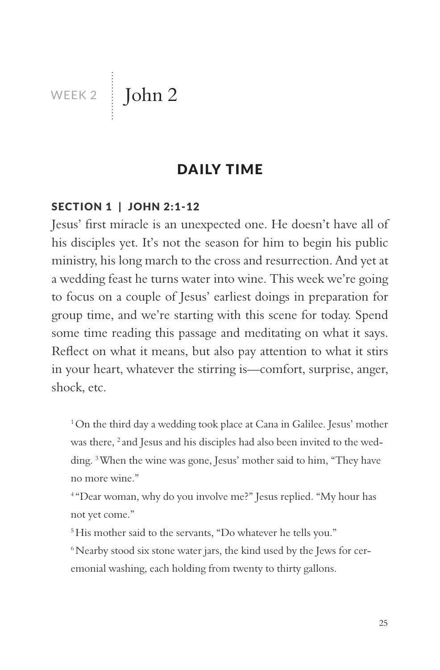WEEK 2 John 2

### DAILY TIME

### SECTION 1 | JOHN 2:1-12

Jesus' first miracle is an unexpected one. He doesn't have all of his disciples yet. It's not the season for him to begin his public ministry, his long march to the cross and resurrection. And yet at a wedding feast he turns water into wine. This week we're going to focus on a couple of Jesus' earliest doings in preparation for group time, and we're starting with this scene for today. Spend some time reading this passage and meditating on what it says. Reflect on what it means, but also pay attention to what it stirs in your heart, whatever the stirring is—comfort, surprise, anger, shock, etc.

<sup>1</sup> On the third day a wedding took place at Cana in Galilee. Jesus' mother was there, <sup>2</sup> and Jesus and his disciples had also been invited to the wedding. 3 When the wine was gone, Jesus' mother said to him, "They have no more wine."

4 "Dear woman, why do you involve me?" Jesus replied. "My hour has not yet come."

<sup>5</sup>His mother said to the servants, "Do whatever he tells you."

<sup>6</sup> Nearby stood six stone water jars, the kind used by the Jews for ceremonial washing, each holding from twenty to thirty gallons.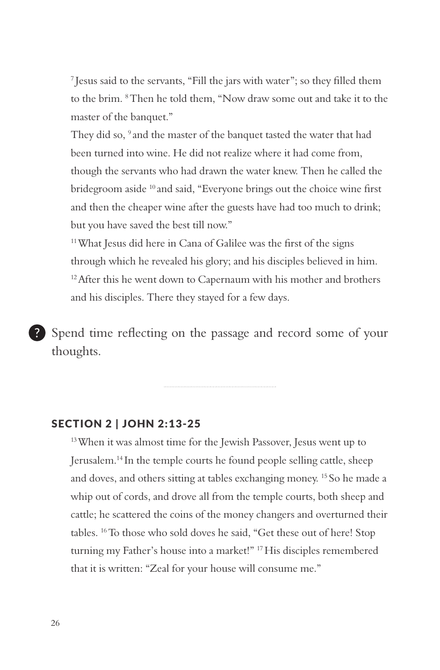7 Jesus said to the servants, "Fill the jars with water"; so they filled them to the brim. 8 Then he told them, "Now draw some out and take it to the master of the banquet."

They did so, <sup>9</sup> and the master of the banquet tasted the water that had been turned into wine. He did not realize where it had come from, though the servants who had drawn the water knew. Then he called the bridegroom aside 10 and said, "Everyone brings out the choice wine first and then the cheaper wine after the guests have had too much to drink; but you have saved the best till now."

11 What Jesus did here in Cana of Galilee was the first of the signs through which he revealed his glory; and his disciples believed in him. <sup>12</sup> After this he went down to Capernaum with his mother and brothers and his disciples. There they stayed for a few days.

Spend time reflecting on the passage and record some of your thoughts.

#### SECTION 2 | JOHN 2:13-25

<sup>13</sup> When it was almost time for the Jewish Passover, Jesus went up to Jerusalem.14 In the temple courts he found people selling cattle, sheep and doves, and others sitting at tables exchanging money. 15 So he made a whip out of cords, and drove all from the temple courts, both sheep and cattle; he scattered the coins of the money changers and overturned their tables. 16 To those who sold doves he said, "Get these out of here! Stop turning my Father's house into a market!" 17 His disciples remembered that it is written: "Zeal for your house will consume me."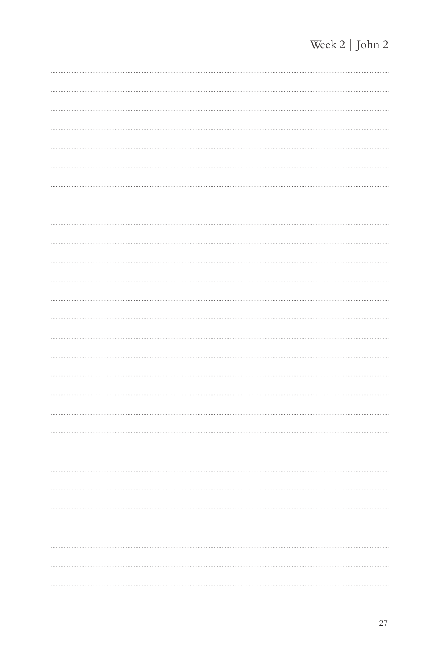| . |
|---|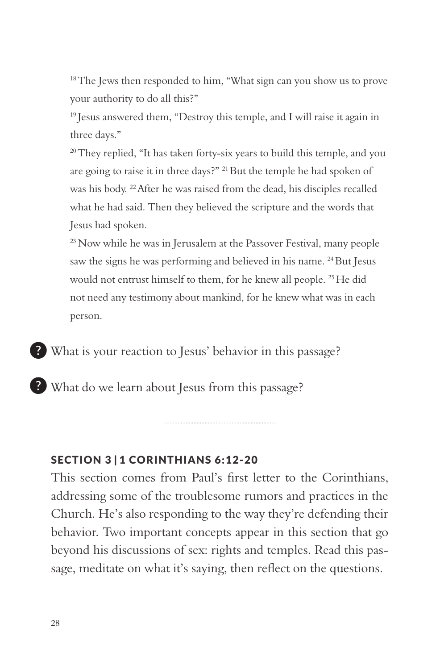<sup>18</sup> The Jews then responded to him, "What sign can you show us to prove your authority to do all this?"

<sup>19</sup> Jesus answered them, "Destroy this temple, and I will raise it again in three days."

<sup>20</sup> They replied, "It has taken forty-six years to build this temple, and you are going to raise it in three days?" 21 But the temple he had spoken of was his body.<sup>22</sup> After he was raised from the dead, his disciples recalled what he had said. Then they believed the scripture and the words that Jesus had spoken.

<sup>23</sup> Now while he was in Jerusalem at the Passover Festival, many people saw the signs he was performing and believed in his name. 24 But Jesus would not entrust himself to them, for he knew all people. 25 He did not need any testimony about mankind, for he knew what was in each person.

What is your reaction to Jesus' behavior in this passage?

What do we learn about Jesus from this passage?

### SECTION 3 | 1 CORINTHIANS 6:12-20

This section comes from Paul's first letter to the Corinthians, addressing some of the troublesome rumors and practices in the Church. He's also responding to the way they're defending their behavior. Two important concepts appear in this section that go beyond his discussions of sex: rights and temples. Read this passage, meditate on what it's saying, then reflect on the questions.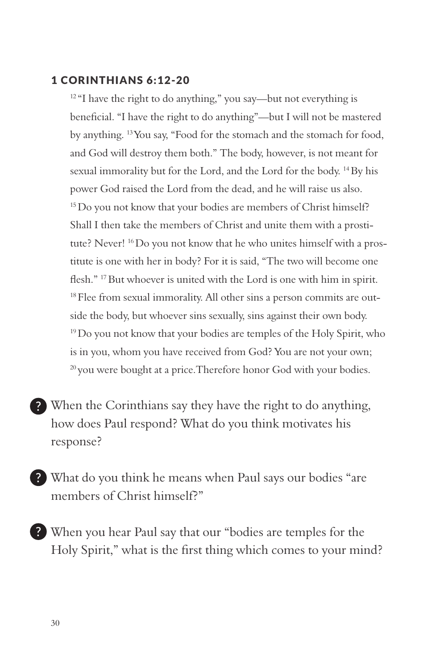### 1 CORINTHIANS 6:12-20

<sup>12</sup> "I have the right to do anything," you say—but not everything is beneficial. "I have the right to do anything"—but I will not be mastered by anything. 13 You say, "Food for the stomach and the stomach for food, and God will destroy them both." The body, however, is not meant for sexual immorality but for the Lord, and the Lord for the body. 14 By his power God raised the Lord from the dead, and he will raise us also. <sup>15</sup> Do you not know that your bodies are members of Christ himself? Shall I then take the members of Christ and unite them with a prostitute? Never! 16 Do you not know that he who unites himself with a prostitute is one with her in body? For it is said, "The two will become one flesh." 17 But whoever is united with the Lord is one with him in spirit. <sup>18</sup> Flee from sexual immorality. All other sins a person commits are outside the body, but whoever sins sexually, sins against their own body. <sup>19</sup> Do you not know that your bodies are temples of the Holy Spirit, who is in you, whom you have received from God? You are not your own; <sup>20</sup> you were bought at a price. Therefore honor God with your bodies.

- When the Corinthians say they have the right to do anything, how does Paul respond? What do you think motivates his response?
- What do you think he means when Paul says our bodies "are members of Christ himself?"
- When you hear Paul say that our "bodies are temples for the Holy Spirit," what is the first thing which comes to your mind?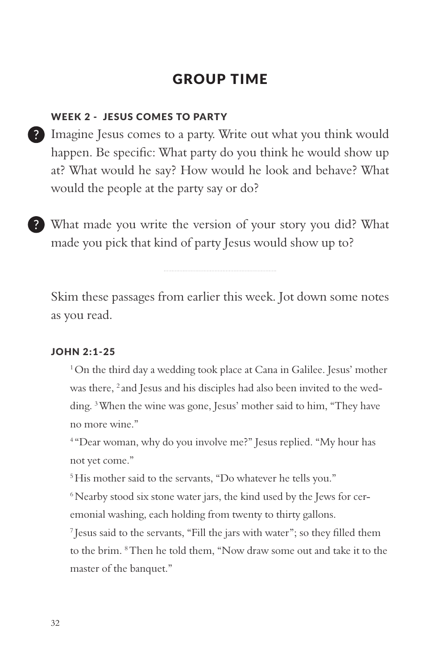## GROUP TIME

### WEEK 2 - JESUS COMES TO PARTY



Imagine Jesus comes to a party. Write out what you think would happen. Be specific: What party do you think he would show up at? What would he say? How would he look and behave? What would the people at the party say or do?

What made you write the version of your story you did? What made you pick that kind of party Jesus would show up to?

Skim these passages from earlier this week. Jot down some notes as you read.

#### JOHN 2:1-25

<sup>1</sup> On the third day a wedding took place at Cana in Galilee. Jesus' mother was there, <sup>2</sup> and Jesus and his disciples had also been invited to the wedding. 3 When the wine was gone, Jesus' mother said to him, "They have no more wine."

4 "Dear woman, why do you involve me?" Jesus replied. "My hour has not yet come."

<sup>5</sup>His mother said to the servants, "Do whatever he tells you."

<sup>6</sup> Nearby stood six stone water jars, the kind used by the Jews for ceremonial washing, each holding from twenty to thirty gallons.

7 Jesus said to the servants, "Fill the jars with water"; so they filled them to the brim. 8 Then he told them, "Now draw some out and take it to the master of the banquet."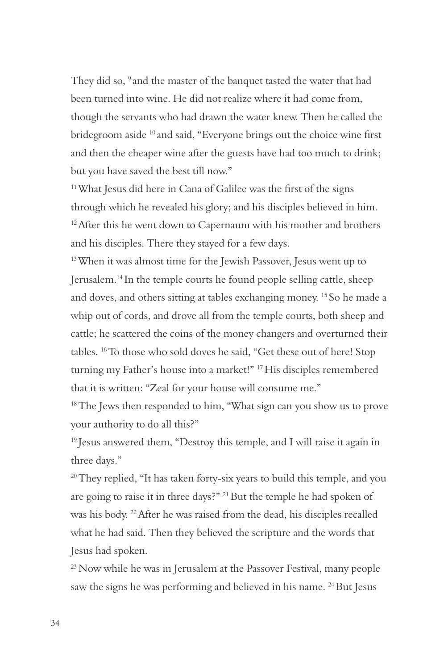They did so, <sup>9</sup> and the master of the banquet tasted the water that had been turned into wine. He did not realize where it had come from, though the servants who had drawn the water knew. Then he called the bridegroom aside 10 and said, "Everyone brings out the choice wine first and then the cheaper wine after the guests have had too much to drink; but you have saved the best till now."

<sup>11</sup> What Jesus did here in Cana of Galilee was the first of the signs through which he revealed his glory; and his disciples believed in him. <sup>12</sup> After this he went down to Capernaum with his mother and brothers and his disciples. There they stayed for a few days.

<sup>13</sup> When it was almost time for the Jewish Passover, Jesus went up to Jerusalem.14 In the temple courts he found people selling cattle, sheep and doves, and others sitting at tables exchanging money. 15 So he made a whip out of cords, and drove all from the temple courts, both sheep and cattle; he scattered the coins of the money changers and overturned their tables. 16 To those who sold doves he said, "Get these out of here! Stop turning my Father's house into a market!" 17 His disciples remembered that it is written: "Zeal for your house will consume me."

<sup>18</sup> The Jews then responded to him, "What sign can you show us to prove your authority to do all this?"

<sup>19</sup> Jesus answered them, "Destroy this temple, and I will raise it again in three days."

 $20$  They replied, "It has taken forty-six years to build this temple, and you are going to raise it in three days?" 21 But the temple he had spoken of was his body. 22 After he was raised from the dead, his disciples recalled what he had said. Then they believed the scripture and the words that Jesus had spoken.

<sup>23</sup> Now while he was in Jerusalem at the Passover Festival, many people saw the signs he was performing and believed in his name. 24 But Jesus